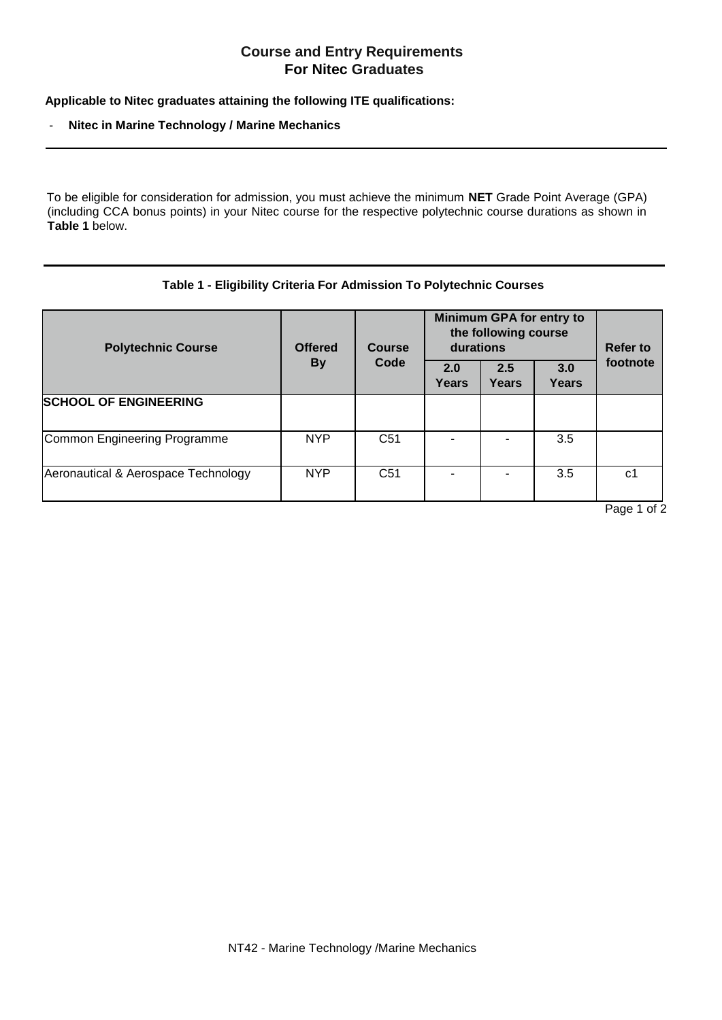## **Course and Entry Requirements For Nitec Graduates**

**Applicable to Nitec graduates attaining the following ITE qualifications:**

## - **Nitec in Marine Technology / Marine Mechanics**

To be eligible for consideration for admission, you must achieve the minimum **NET** Grade Point Average (GPA) (including CCA bonus points) in your Nitec course for the respective polytechnic course durations as shown in **Table 1** below.

## **Table 1 - Eligibility Criteria For Admission To Polytechnic Courses**

| <b>Polytechnic Course</b>           | <b>Offered</b><br><b>By</b> | <b>Course</b><br>Code | <b>Minimum GPA for entry to</b><br>the following course<br>durations |              |                     | Refer to |
|-------------------------------------|-----------------------------|-----------------------|----------------------------------------------------------------------|--------------|---------------------|----------|
|                                     |                             |                       | 2.0<br><b>Years</b>                                                  | 2.5<br>Years | 3.0<br><b>Years</b> | footnote |
| <b>SCHOOL OF ENGINEERING</b>        |                             |                       |                                                                      |              |                     |          |
| Common Engineering Programme        | <b>NYP</b>                  | C <sub>51</sub>       |                                                                      |              | 3.5                 |          |
| Aeronautical & Aerospace Technology | <b>NYP</b>                  | C <sub>51</sub>       |                                                                      |              | 3.5                 | c1       |

Page 1 of 2